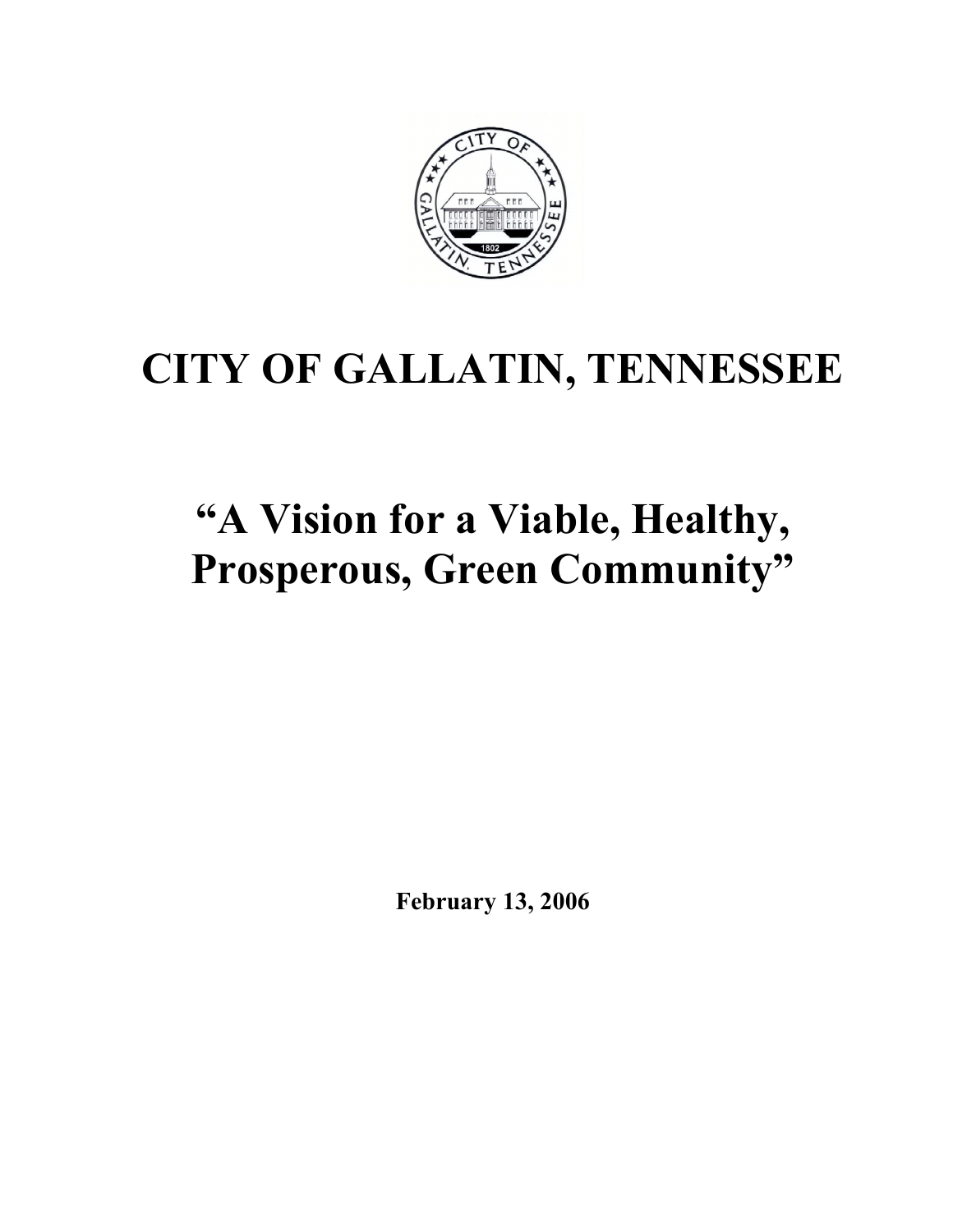

# CITY OF GALLATIN, TENNESSEE

# "A Vision for a Viable, Healthy, Prosperous, Green Community"

February 13, 2006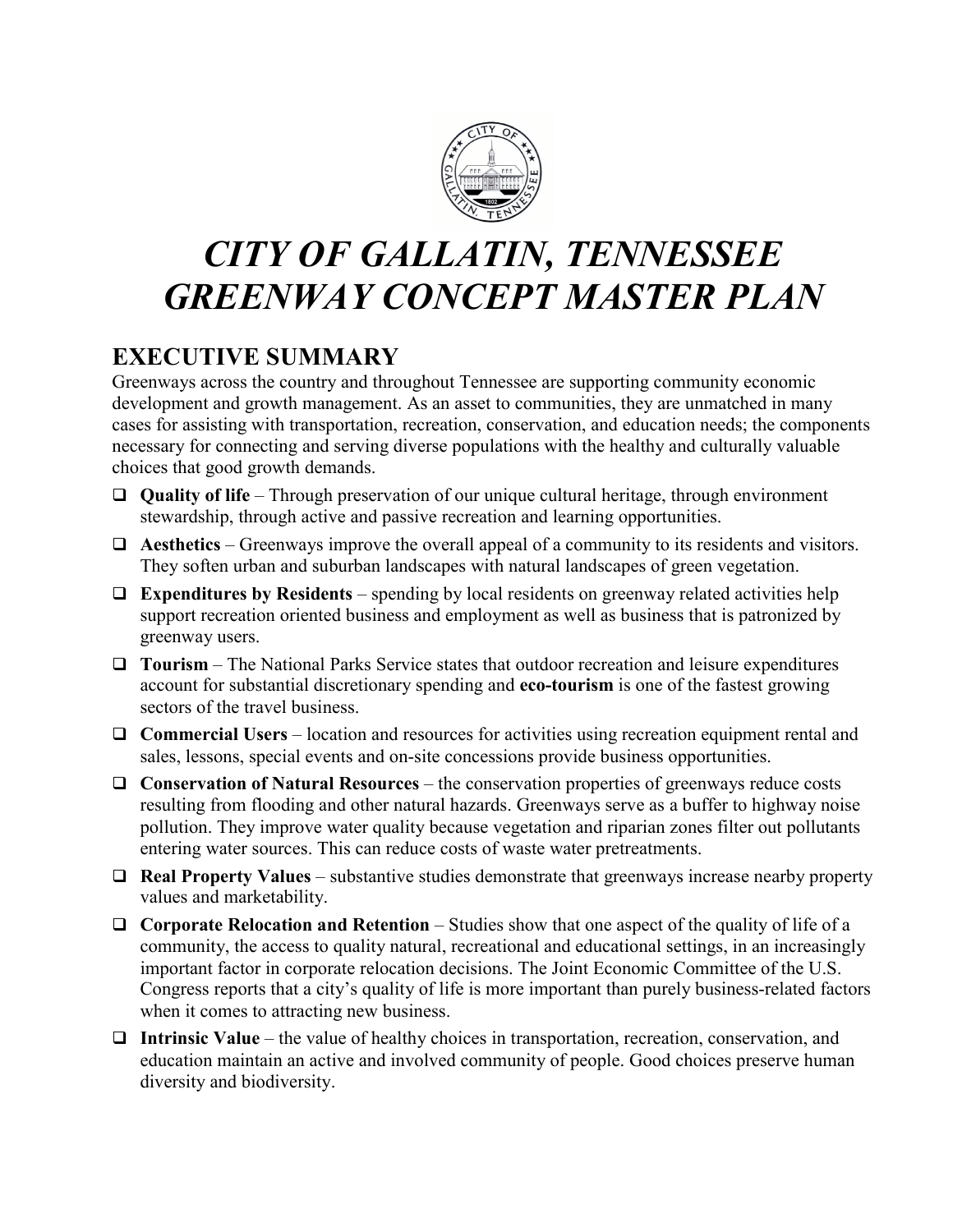

# CITY OF GALLATIN, TENNESSEE GREENWAY CONCEPT MASTER PLAN

# EXECUTIVE SUMMARY

Greenways across the country and throughout Tennessee are supporting community economic development and growth management. As an asset to communities, they are unmatched in many cases for assisting with transportation, recreation, conservation, and education needs; the components necessary for connecting and serving diverse populations with the healthy and culturally valuable choices that good growth demands.

- Quality of life Through preservation of our unique cultural heritage, through environment stewardship, through active and passive recreation and learning opportunities.
- $\Box$  Aesthetics Greenways improve the overall appeal of a community to its residents and visitors. They soften urban and suburban landscapes with natural landscapes of green vegetation.
- $\Box$  Expenditures by Residents spending by local residents on greenway related activities help support recreation oriented business and employment as well as business that is patronized by greenway users.
- $\Box$  Tourism The National Parks Service states that outdoor recreation and leisure expenditures account for substantial discretionary spending and eco-tourism is one of the fastest growing sectors of the travel business.
- $\Box$  Commercial Users location and resources for activities using recreation equipment rental and sales, lessons, special events and on-site concessions provide business opportunities.
- $\Box$  Conservation of Natural Resources the conservation properties of greenways reduce costs resulting from flooding and other natural hazards. Greenways serve as a buffer to highway noise pollution. They improve water quality because vegetation and riparian zones filter out pollutants entering water sources. This can reduce costs of waste water pretreatments.
- $\Box$  Real Property Values substantive studies demonstrate that greenways increase nearby property values and marketability.
- $\Box$  Corporate Relocation and Retention Studies show that one aspect of the quality of life of a community, the access to quality natural, recreational and educational settings, in an increasingly important factor in corporate relocation decisions. The Joint Economic Committee of the U.S. Congress reports that a city's quality of life is more important than purely business-related factors when it comes to attracting new business.
- $\Box$  Intrinsic Value the value of healthy choices in transportation, recreation, conservation, and education maintain an active and involved community of people. Good choices preserve human diversity and biodiversity.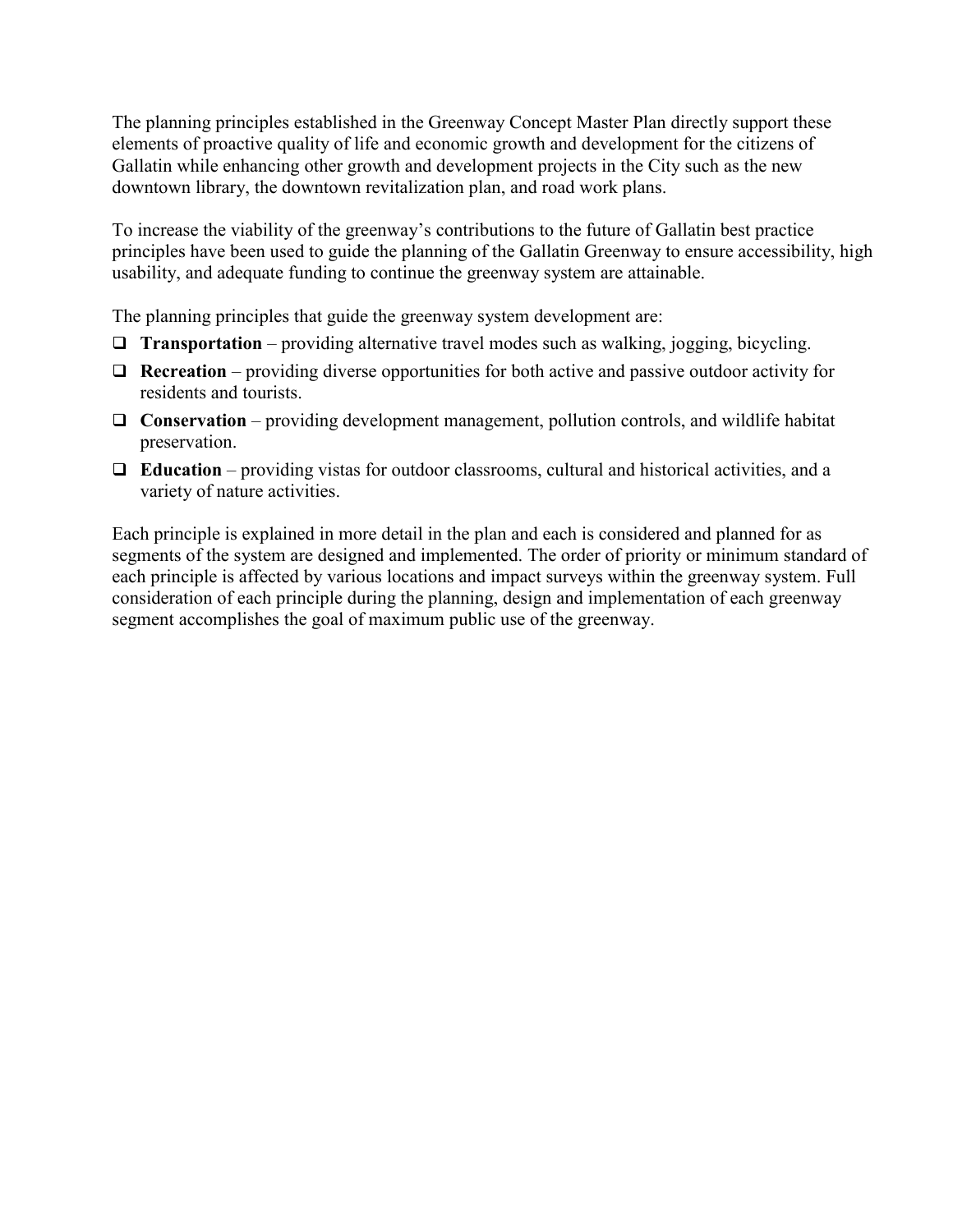The planning principles established in the Greenway Concept Master Plan directly support these elements of proactive quality of life and economic growth and development for the citizens of Gallatin while enhancing other growth and development projects in the City such as the new downtown library, the downtown revitalization plan, and road work plans.

To increase the viability of the greenway's contributions to the future of Gallatin best practice principles have been used to guide the planning of the Gallatin Greenway to ensure accessibility, high usability, and adequate funding to continue the greenway system are attainable.

The planning principles that guide the greenway system development are:

- $\Box$  **Transportation** providing alternative travel modes such as walking, jogging, bicycling.
- $\Box$  **Recreation** providing diverse opportunities for both active and passive outdoor activity for residents and tourists.
- $\Box$  Conservation providing development management, pollution controls, and wildlife habitat preservation.
- $\Box$  **Education** providing vistas for outdoor classrooms, cultural and historical activities, and a variety of nature activities.

Each principle is explained in more detail in the plan and each is considered and planned for as segments of the system are designed and implemented. The order of priority or minimum standard of each principle is affected by various locations and impact surveys within the greenway system. Full consideration of each principle during the planning, design and implementation of each greenway segment accomplishes the goal of maximum public use of the greenway.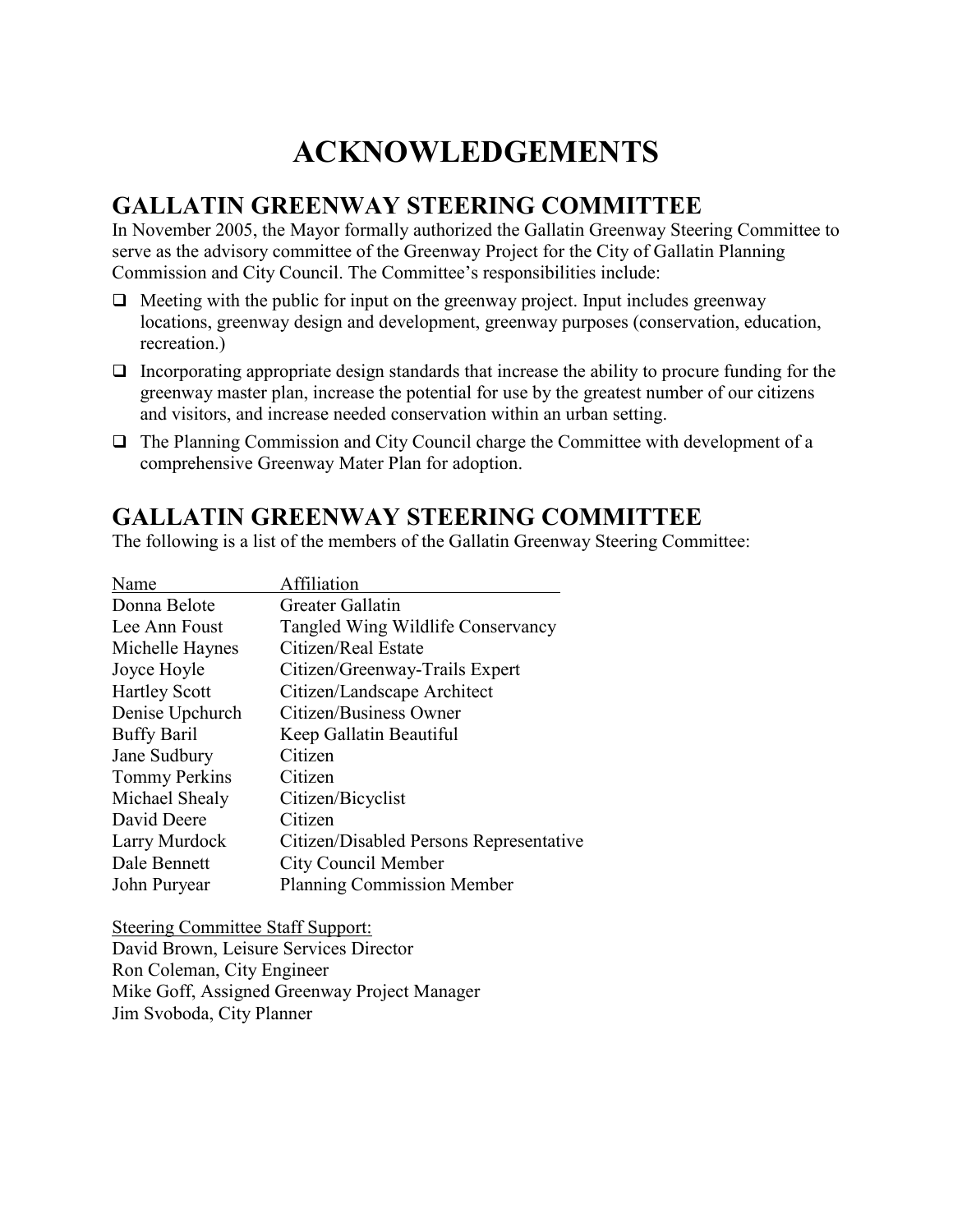# ACKNOWLEDGEMENTS

#### GALLATIN GREENWAY STEERING COMMITTEE

In November 2005, the Mayor formally authorized the Gallatin Greenway Steering Committee to serve as the advisory committee of the Greenway Project for the City of Gallatin Planning Commission and City Council. The Committee's responsibilities include:

- $\Box$  Meeting with the public for input on the greenway project. Input includes greenway locations, greenway design and development, greenway purposes (conservation, education, recreation.)
- $\Box$  Incorporating appropriate design standards that increase the ability to procure funding for the greenway master plan, increase the potential for use by the greatest number of our citizens and visitors, and increase needed conservation within an urban setting.
- $\Box$  The Planning Commission and City Council charge the Committee with development of a comprehensive Greenway Mater Plan for adoption.

#### GALLATIN GREENWAY STEERING COMMITTEE

The following is a list of the members of the Gallatin Greenway Steering Committee:

| Name                 | Affiliation                             |
|----------------------|-----------------------------------------|
| Donna Belote         | Greater Gallatin                        |
| Lee Ann Foust        | Tangled Wing Wildlife Conservancy       |
| Michelle Haynes      | Citizen/Real Estate                     |
| Joyce Hoyle          | Citizen/Greenway-Trails Expert          |
| <b>Hartley Scott</b> | Citizen/Landscape Architect             |
| Denise Upchurch      | Citizen/Business Owner                  |
| <b>Buffy Baril</b>   | Keep Gallatin Beautiful                 |
| Jane Sudbury         | Citizen                                 |
| <b>Tommy Perkins</b> | Citizen                                 |
| Michael Shealy       | Citizen/Bicyclist                       |
| David Deere          | Citizen                                 |
| Larry Murdock        | Citizen/Disabled Persons Representative |
| Dale Bennett         | City Council Member                     |
| John Puryear         | <b>Planning Commission Member</b>       |
|                      |                                         |

Steering Committee Staff Support: David Brown, Leisure Services Director Ron Coleman, City Engineer Mike Goff, Assigned Greenway Project Manager Jim Svoboda, City Planner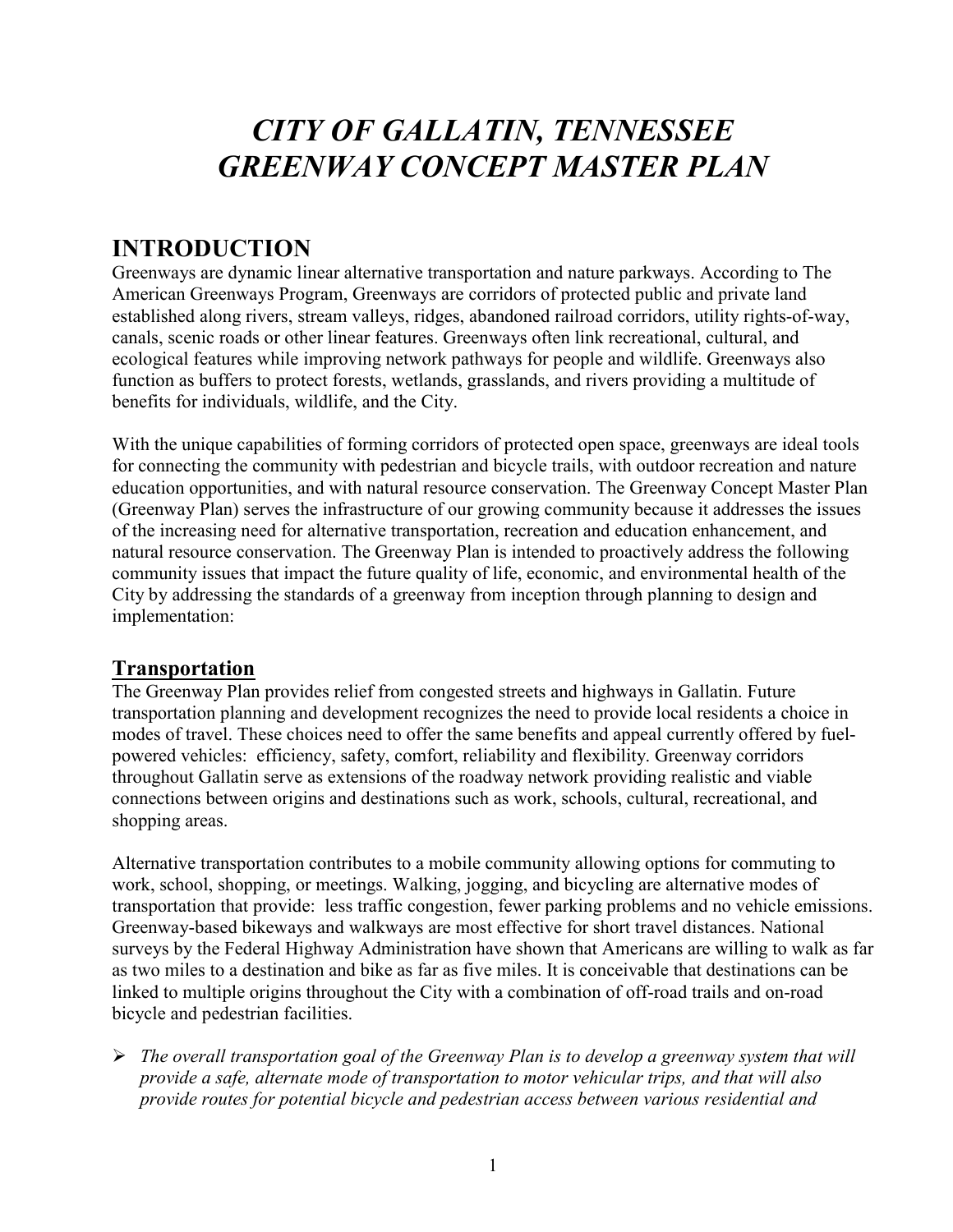# CITY OF GALLATIN, TENNESSEE GREENWAY CONCEPT MASTER PLAN

## INTRODUCTION

Greenways are dynamic linear alternative transportation and nature parkways. According to The American Greenways Program, Greenways are corridors of protected public and private land established along rivers, stream valleys, ridges, abandoned railroad corridors, utility rights-of-way, canals, scenic roads or other linear features. Greenways often link recreational, cultural, and ecological features while improving network pathways for people and wildlife. Greenways also function as buffers to protect forests, wetlands, grasslands, and rivers providing a multitude of benefits for individuals, wildlife, and the City.

With the unique capabilities of forming corridors of protected open space, greenways are ideal tools for connecting the community with pedestrian and bicycle trails, with outdoor recreation and nature education opportunities, and with natural resource conservation. The Greenway Concept Master Plan (Greenway Plan) serves the infrastructure of our growing community because it addresses the issues of the increasing need for alternative transportation, recreation and education enhancement, and natural resource conservation. The Greenway Plan is intended to proactively address the following community issues that impact the future quality of life, economic, and environmental health of the City by addressing the standards of a greenway from inception through planning to design and implementation:

#### Transportation

The Greenway Plan provides relief from congested streets and highways in Gallatin. Future transportation planning and development recognizes the need to provide local residents a choice in modes of travel. These choices need to offer the same benefits and appeal currently offered by fuelpowered vehicles: efficiency, safety, comfort, reliability and flexibility. Greenway corridors throughout Gallatin serve as extensions of the roadway network providing realistic and viable connections between origins and destinations such as work, schools, cultural, recreational, and shopping areas.

Alternative transportation contributes to a mobile community allowing options for commuting to work, school, shopping, or meetings. Walking, jogging, and bicycling are alternative modes of transportation that provide: less traffic congestion, fewer parking problems and no vehicle emissions. Greenway-based bikeways and walkways are most effective for short travel distances. National surveys by the Federal Highway Administration have shown that Americans are willing to walk as far as two miles to a destination and bike as far as five miles. It is conceivable that destinations can be linked to multiple origins throughout the City with a combination of off-road trails and on-road bicycle and pedestrian facilities.

 $\triangleright$  The overall transportation goal of the Greenway Plan is to develop a greenway system that will provide a safe, alternate mode of transportation to motor vehicular trips, and that will also provide routes for potential bicycle and pedestrian access between various residential and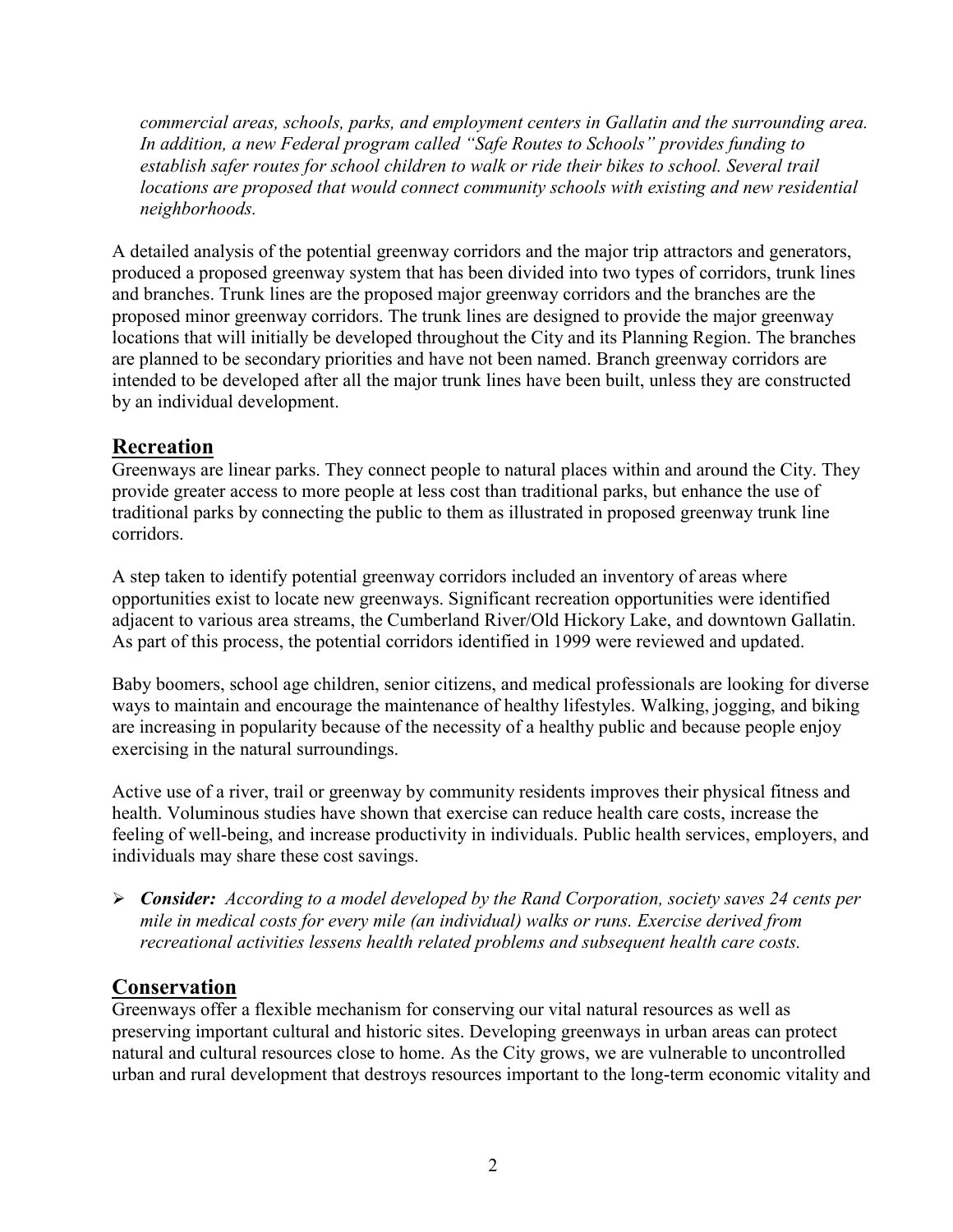commercial areas, schools, parks, and employment centers in Gallatin and the surrounding area. In addition, a new Federal program called "Safe Routes to Schools" provides funding to establish safer routes for school children to walk or ride their bikes to school. Several trail locations are proposed that would connect community schools with existing and new residential neighborhoods.

A detailed analysis of the potential greenway corridors and the major trip attractors and generators, produced a proposed greenway system that has been divided into two types of corridors, trunk lines and branches. Trunk lines are the proposed major greenway corridors and the branches are the proposed minor greenway corridors. The trunk lines are designed to provide the major greenway locations that will initially be developed throughout the City and its Planning Region. The branches are planned to be secondary priorities and have not been named. Branch greenway corridors are intended to be developed after all the major trunk lines have been built, unless they are constructed by an individual development.

#### Recreation

Greenways are linear parks. They connect people to natural places within and around the City. They provide greater access to more people at less cost than traditional parks, but enhance the use of traditional parks by connecting the public to them as illustrated in proposed greenway trunk line corridors.

A step taken to identify potential greenway corridors included an inventory of areas where opportunities exist to locate new greenways. Significant recreation opportunities were identified adjacent to various area streams, the Cumberland River/Old Hickory Lake, and downtown Gallatin. As part of this process, the potential corridors identified in 1999 were reviewed and updated.

Baby boomers, school age children, senior citizens, and medical professionals are looking for diverse ways to maintain and encourage the maintenance of healthy lifestyles. Walking, jogging, and biking are increasing in popularity because of the necessity of a healthy public and because people enjoy exercising in the natural surroundings.

Active use of a river, trail or greenway by community residents improves their physical fitness and health. Voluminous studies have shown that exercise can reduce health care costs, increase the feeling of well-being, and increase productivity in individuals. Public health services, employers, and individuals may share these cost savings.

 $\triangleright$  Consider: According to a model developed by the Rand Corporation, society saves 24 cents per mile in medical costs for every mile (an individual) walks or runs. Exercise derived from recreational activities lessens health related problems and subsequent health care costs.

#### **Conservation**

Greenways offer a flexible mechanism for conserving our vital natural resources as well as preserving important cultural and historic sites. Developing greenways in urban areas can protect natural and cultural resources close to home. As the City grows, we are vulnerable to uncontrolled urban and rural development that destroys resources important to the long-term economic vitality and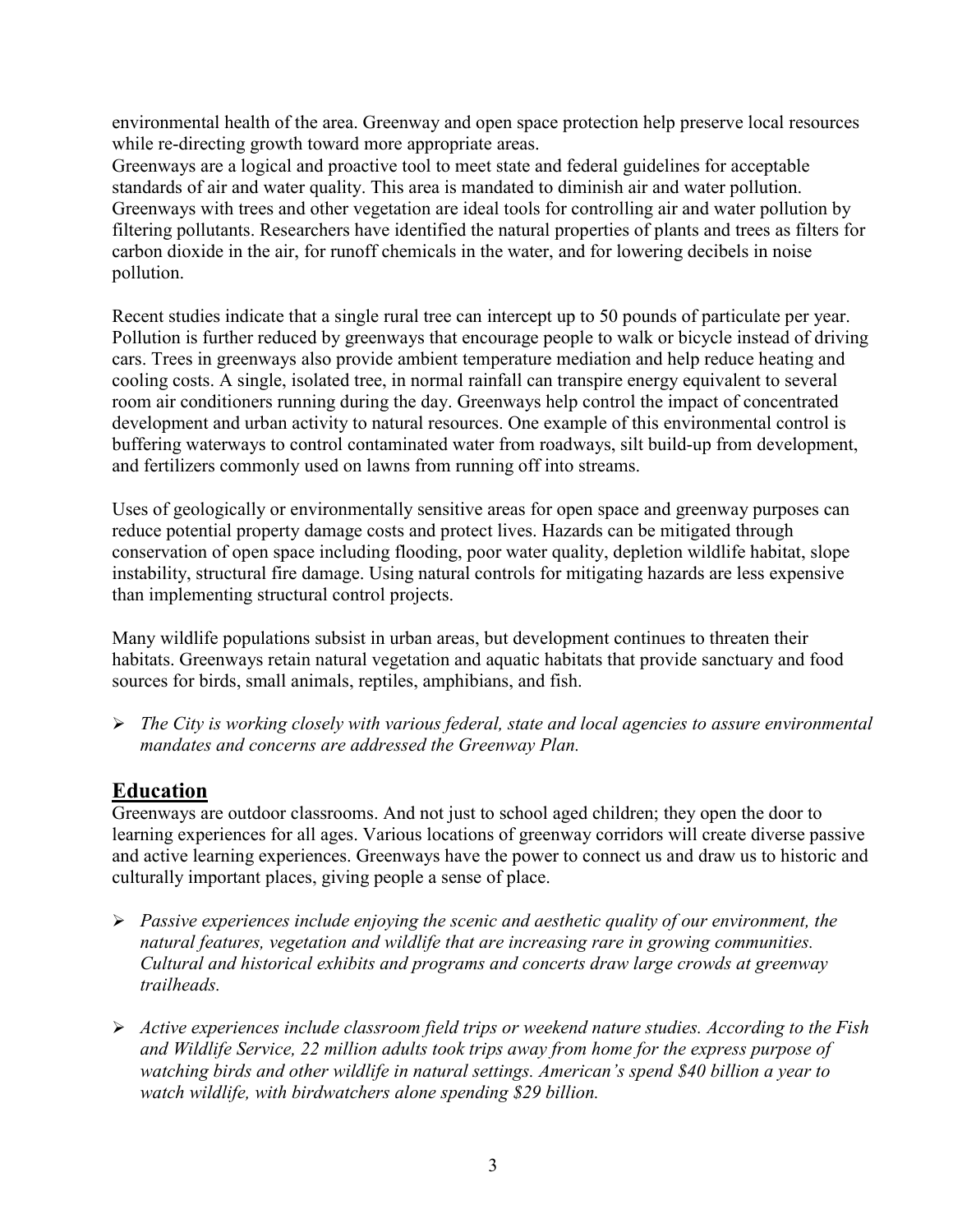environmental health of the area. Greenway and open space protection help preserve local resources while re-directing growth toward more appropriate areas.

Greenways are a logical and proactive tool to meet state and federal guidelines for acceptable standards of air and water quality. This area is mandated to diminish air and water pollution. Greenways with trees and other vegetation are ideal tools for controlling air and water pollution by filtering pollutants. Researchers have identified the natural properties of plants and trees as filters for carbon dioxide in the air, for runoff chemicals in the water, and for lowering decibels in noise pollution.

Recent studies indicate that a single rural tree can intercept up to 50 pounds of particulate per year. Pollution is further reduced by greenways that encourage people to walk or bicycle instead of driving cars. Trees in greenways also provide ambient temperature mediation and help reduce heating and cooling costs. A single, isolated tree, in normal rainfall can transpire energy equivalent to several room air conditioners running during the day. Greenways help control the impact of concentrated development and urban activity to natural resources. One example of this environmental control is buffering waterways to control contaminated water from roadways, silt build-up from development, and fertilizers commonly used on lawns from running off into streams.

Uses of geologically or environmentally sensitive areas for open space and greenway purposes can reduce potential property damage costs and protect lives. Hazards can be mitigated through conservation of open space including flooding, poor water quality, depletion wildlife habitat, slope instability, structural fire damage. Using natural controls for mitigating hazards are less expensive than implementing structural control projects.

Many wildlife populations subsist in urban areas, but development continues to threaten their habitats. Greenways retain natural vegetation and aquatic habitats that provide sanctuary and food sources for birds, small animals, reptiles, amphibians, and fish.

 $\triangleright$  The City is working closely with various federal, state and local agencies to assure environmental mandates and concerns are addressed the Greenway Plan.

#### Education

Greenways are outdoor classrooms. And not just to school aged children; they open the door to learning experiences for all ages. Various locations of greenway corridors will create diverse passive and active learning experiences. Greenways have the power to connect us and draw us to historic and culturally important places, giving people a sense of place.

- $\triangleright$  Passive experiences include enjoying the scenic and aesthetic quality of our environment, the natural features, vegetation and wildlife that are increasing rare in growing communities. Cultural and historical exhibits and programs and concerts draw large crowds at greenway trailheads.
- $\triangleright$  Active experiences include classroom field trips or weekend nature studies. According to the Fish and Wildlife Service, 22 million adults took trips away from home for the express purpose of watching birds and other wildlife in natural settings. American's spend \$40 billion a year to watch wildlife, with birdwatchers alone spending \$29 billion.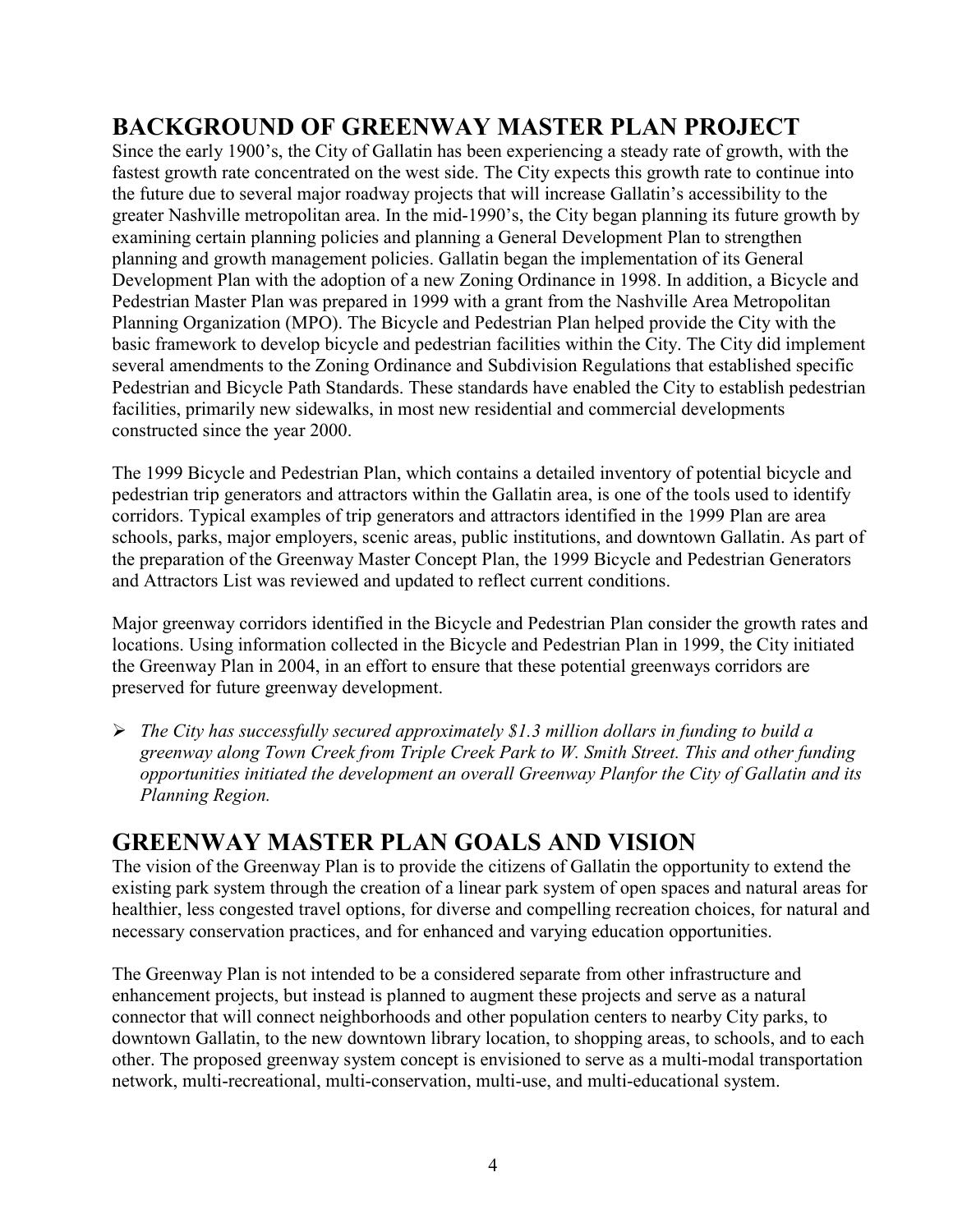## BACKGROUND OF GREENWAY MASTER PLAN PROJECT

Since the early 1900's, the City of Gallatin has been experiencing a steady rate of growth, with the fastest growth rate concentrated on the west side. The City expects this growth rate to continue into the future due to several major roadway projects that will increase Gallatin's accessibility to the greater Nashville metropolitan area. In the mid-1990's, the City began planning its future growth by examining certain planning policies and planning a General Development Plan to strengthen planning and growth management policies. Gallatin began the implementation of its General Development Plan with the adoption of a new Zoning Ordinance in 1998. In addition, a Bicycle and Pedestrian Master Plan was prepared in 1999 with a grant from the Nashville Area Metropolitan Planning Organization (MPO). The Bicycle and Pedestrian Plan helped provide the City with the basic framework to develop bicycle and pedestrian facilities within the City. The City did implement several amendments to the Zoning Ordinance and Subdivision Regulations that established specific Pedestrian and Bicycle Path Standards. These standards have enabled the City to establish pedestrian facilities, primarily new sidewalks, in most new residential and commercial developments constructed since the year 2000.

The 1999 Bicycle and Pedestrian Plan, which contains a detailed inventory of potential bicycle and pedestrian trip generators and attractors within the Gallatin area, is one of the tools used to identify corridors. Typical examples of trip generators and attractors identified in the 1999 Plan are area schools, parks, major employers, scenic areas, public institutions, and downtown Gallatin. As part of the preparation of the Greenway Master Concept Plan, the 1999 Bicycle and Pedestrian Generators and Attractors List was reviewed and updated to reflect current conditions.

Major greenway corridors identified in the Bicycle and Pedestrian Plan consider the growth rates and locations. Using information collected in the Bicycle and Pedestrian Plan in 1999, the City initiated the Greenway Plan in 2004, in an effort to ensure that these potential greenways corridors are preserved for future greenway development.

 $\triangleright$  The City has successfully secured approximately \$1.3 million dollars in funding to build a greenway along Town Creek from Triple Creek Park to W. Smith Street. This and other funding opportunities initiated the development an overall Greenway Planfor the City of Gallatin and its Planning Region.

## GREENWAY MASTER PLAN GOALS AND VISION

The vision of the Greenway Plan is to provide the citizens of Gallatin the opportunity to extend the existing park system through the creation of a linear park system of open spaces and natural areas for healthier, less congested travel options, for diverse and compelling recreation choices, for natural and necessary conservation practices, and for enhanced and varying education opportunities.

The Greenway Plan is not intended to be a considered separate from other infrastructure and enhancement projects, but instead is planned to augment these projects and serve as a natural connector that will connect neighborhoods and other population centers to nearby City parks, to downtown Gallatin, to the new downtown library location, to shopping areas, to schools, and to each other. The proposed greenway system concept is envisioned to serve as a multi-modal transportation network, multi-recreational, multi-conservation, multi-use, and multi-educational system.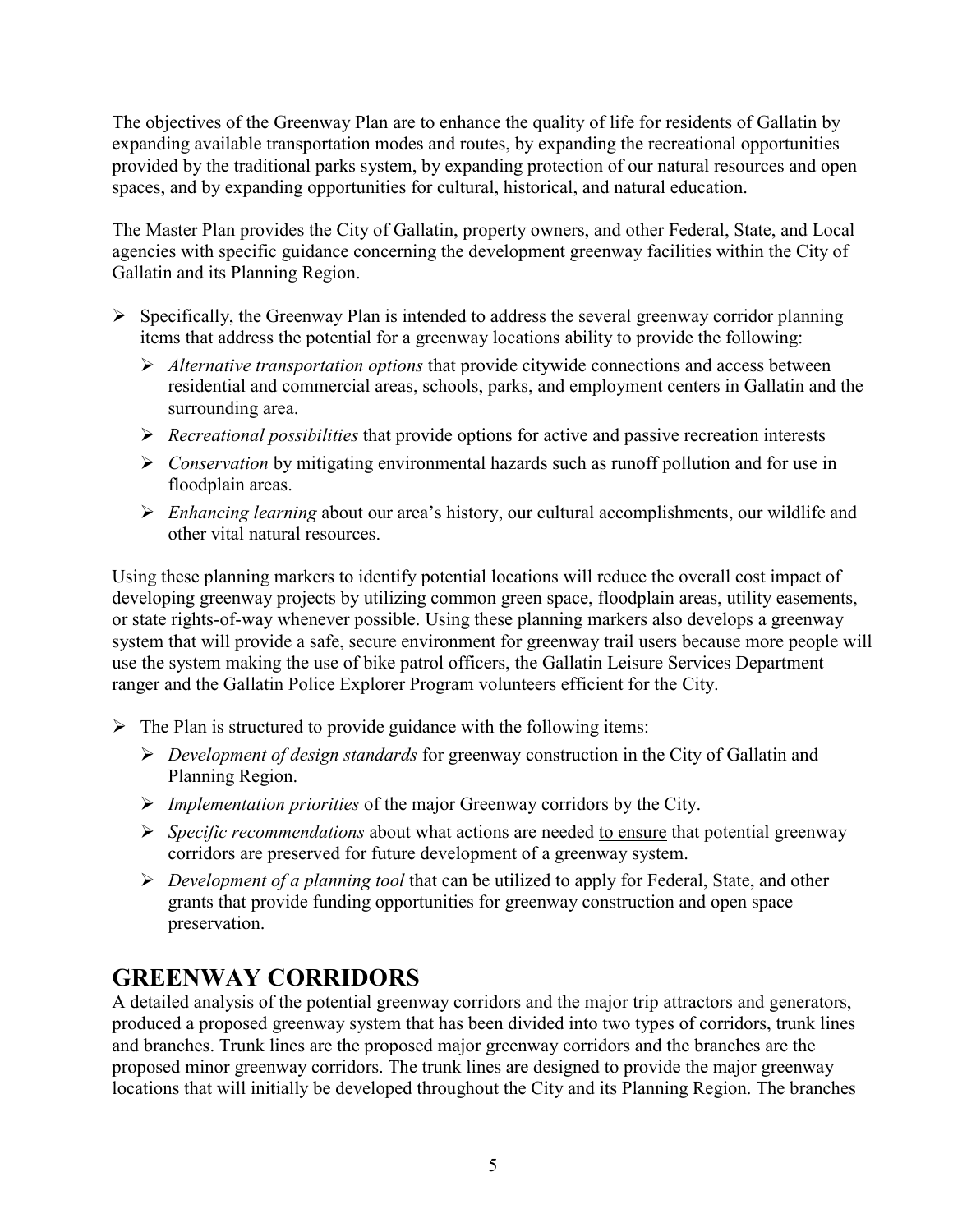The objectives of the Greenway Plan are to enhance the quality of life for residents of Gallatin by expanding available transportation modes and routes, by expanding the recreational opportunities provided by the traditional parks system, by expanding protection of our natural resources and open spaces, and by expanding opportunities for cultural, historical, and natural education.

The Master Plan provides the City of Gallatin, property owners, and other Federal, State, and Local agencies with specific guidance concerning the development greenway facilities within the City of Gallatin and its Planning Region.

- $\triangleright$  Specifically, the Greenway Plan is intended to address the several greenway corridor planning items that address the potential for a greenway locations ability to provide the following:
	- $\triangleright$  Alternative transportation options that provide citywide connections and access between residential and commercial areas, schools, parks, and employment centers in Gallatin and the surrounding area.
	- $\triangleright$  Recreational possibilities that provide options for active and passive recreation interests
	- $\triangleright$  Conservation by mitigating environmental hazards such as runoff pollution and for use in floodplain areas.
	- $\triangleright$  Enhancing learning about our area's history, our cultural accomplishments, our wildlife and other vital natural resources.

Using these planning markers to identify potential locations will reduce the overall cost impact of developing greenway projects by utilizing common green space, floodplain areas, utility easements, or state rights-of-way whenever possible. Using these planning markers also develops a greenway system that will provide a safe, secure environment for greenway trail users because more people will use the system making the use of bike patrol officers, the Gallatin Leisure Services Department ranger and the Gallatin Police Explorer Program volunteers efficient for the City.

- $\triangleright$  The Plan is structured to provide guidance with the following items:
	- $\triangleright$  Development of design standards for greenway construction in the City of Gallatin and Planning Region.
	- $\triangleright$  *Implementation priorities* of the major Greenway corridors by the City.
	- $\triangleright$  *Specific recommendations* about what actions are needed to ensure that potential greenway corridors are preserved for future development of a greenway system.
	- $\triangleright$  Development of a planning tool that can be utilized to apply for Federal, State, and other grants that provide funding opportunities for greenway construction and open space preservation.

## GREENWAY CORRIDORS

A detailed analysis of the potential greenway corridors and the major trip attractors and generators, produced a proposed greenway system that has been divided into two types of corridors, trunk lines and branches. Trunk lines are the proposed major greenway corridors and the branches are the proposed minor greenway corridors. The trunk lines are designed to provide the major greenway locations that will initially be developed throughout the City and its Planning Region. The branches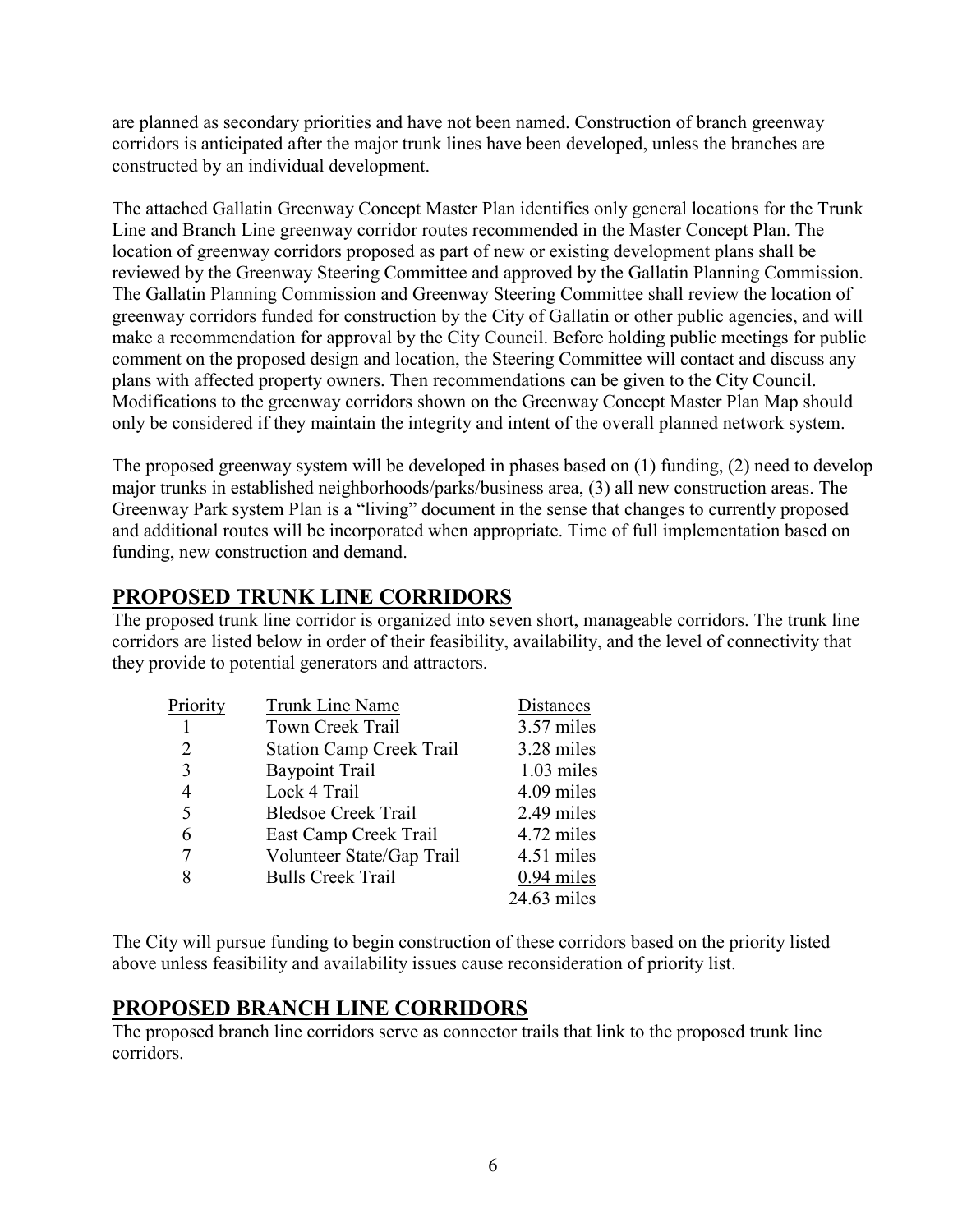are planned as secondary priorities and have not been named. Construction of branch greenway corridors is anticipated after the major trunk lines have been developed, unless the branches are constructed by an individual development.

The attached Gallatin Greenway Concept Master Plan identifies only general locations for the Trunk Line and Branch Line greenway corridor routes recommended in the Master Concept Plan. The location of greenway corridors proposed as part of new or existing development plans shall be reviewed by the Greenway Steering Committee and approved by the Gallatin Planning Commission. The Gallatin Planning Commission and Greenway Steering Committee shall review the location of greenway corridors funded for construction by the City of Gallatin or other public agencies, and will make a recommendation for approval by the City Council. Before holding public meetings for public comment on the proposed design and location, the Steering Committee will contact and discuss any plans with affected property owners. Then recommendations can be given to the City Council. Modifications to the greenway corridors shown on the Greenway Concept Master Plan Map should only be considered if they maintain the integrity and intent of the overall planned network system.

The proposed greenway system will be developed in phases based on (1) funding, (2) need to develop major trunks in established neighborhoods/parks/business area, (3) all new construction areas. The Greenway Park system Plan is a "living" document in the sense that changes to currently proposed and additional routes will be incorporated when appropriate. Time of full implementation based on funding, new construction and demand.

#### PROPOSED TRUNK LINE CORRIDORS

The proposed trunk line corridor is organized into seven short, manageable corridors. The trunk line corridors are listed below in order of their feasibility, availability, and the level of connectivity that they provide to potential generators and attractors.

| Priority | Trunk Line Name                 | Distances    |
|----------|---------------------------------|--------------|
|          | Town Creek Trail                | 3.57 miles   |
| 2        | <b>Station Camp Creek Trail</b> | 3.28 miles   |
| 3        | <b>Baypoint Trail</b>           | $1.03$ miles |
| 4        | Lock 4 Trail                    | 4.09 miles   |
| 5        | <b>Bledsoe Creek Trail</b>      | 2.49 miles   |
| 6        | East Camp Creek Trail           | 4.72 miles   |
| 7        | Volunteer State/Gap Trail       | 4.51 miles   |
| 8        | <b>Bulls Creek Trail</b>        | 0.94 miles   |
|          |                                 | 24.63 miles  |

The City will pursue funding to begin construction of these corridors based on the priority listed above unless feasibility and availability issues cause reconsideration of priority list.

#### PROPOSED BRANCH LINE CORRIDORS

The proposed branch line corridors serve as connector trails that link to the proposed trunk line corridors.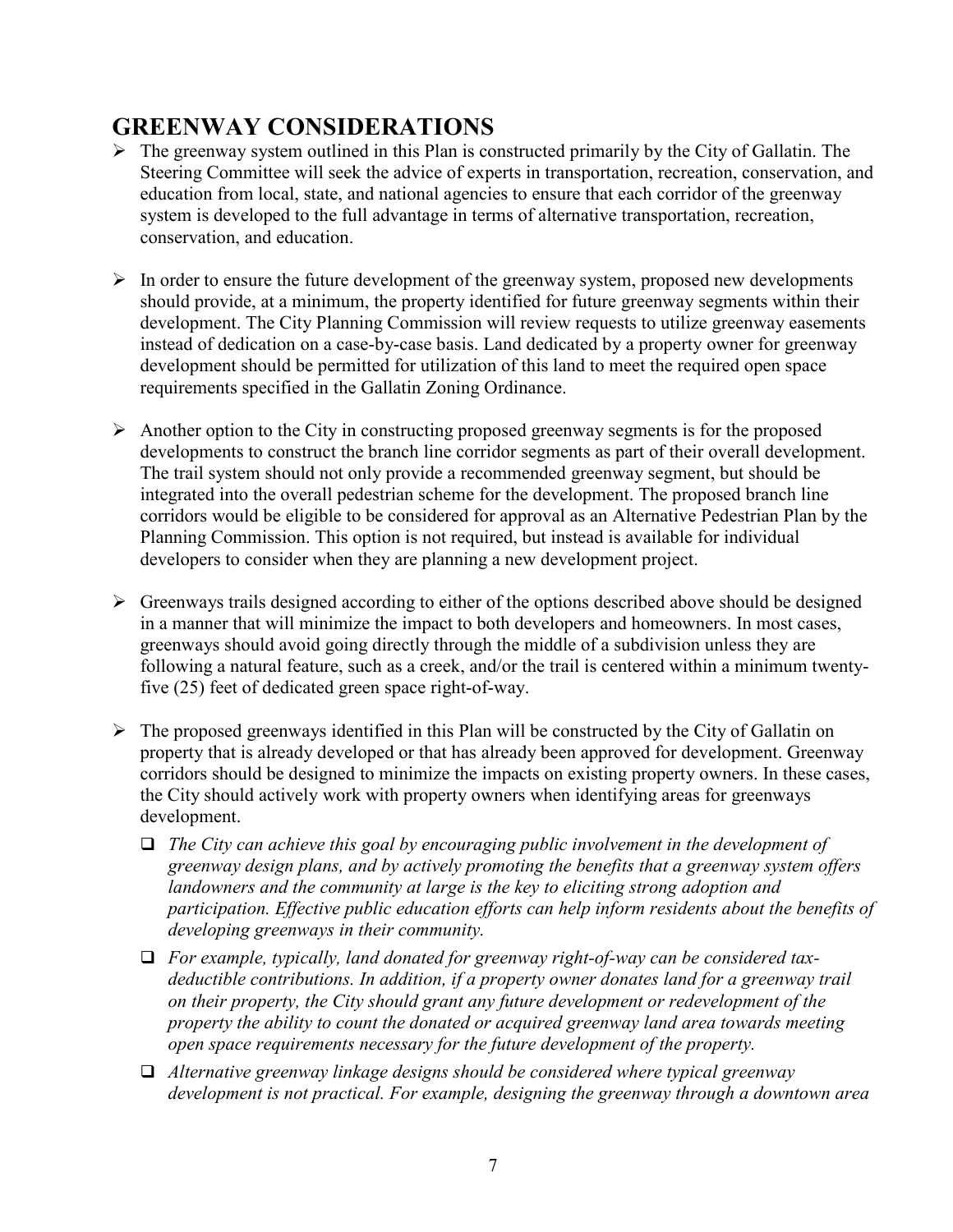## GREENWAY CONSIDERATIONS

- $\triangleright$  The greenway system outlined in this Plan is constructed primarily by the City of Gallatin. The Steering Committee will seek the advice of experts in transportation, recreation, conservation, and education from local, state, and national agencies to ensure that each corridor of the greenway system is developed to the full advantage in terms of alternative transportation, recreation, conservation, and education.
- $\triangleright$  In order to ensure the future development of the greenway system, proposed new developments should provide, at a minimum, the property identified for future greenway segments within their development. The City Planning Commission will review requests to utilize greenway easements instead of dedication on a case-by-case basis. Land dedicated by a property owner for greenway development should be permitted for utilization of this land to meet the required open space requirements specified in the Gallatin Zoning Ordinance.
- $\triangleright$  Another option to the City in constructing proposed greenway segments is for the proposed developments to construct the branch line corridor segments as part of their overall development. The trail system should not only provide a recommended greenway segment, but should be integrated into the overall pedestrian scheme for the development. The proposed branch line corridors would be eligible to be considered for approval as an Alternative Pedestrian Plan by the Planning Commission. This option is not required, but instead is available for individual developers to consider when they are planning a new development project.
- $\triangleright$  Greenways trails designed according to either of the options described above should be designed in a manner that will minimize the impact to both developers and homeowners. In most cases, greenways should avoid going directly through the middle of a subdivision unless they are following a natural feature, such as a creek, and/or the trail is centered within a minimum twentyfive (25) feet of dedicated green space right-of-way.
- $\triangleright$  The proposed greenways identified in this Plan will be constructed by the City of Gallatin on property that is already developed or that has already been approved for development. Greenway corridors should be designed to minimize the impacts on existing property owners. In these cases, the City should actively work with property owners when identifying areas for greenways development.
	- $\Box$  The City can achieve this goal by encouraging public involvement in the development of greenway design plans, and by actively promoting the benefits that a greenway system offers landowners and the community at large is the key to eliciting strong adoption and participation. Effective public education efforts can help inform residents about the benefits of developing greenways in their community.
	- $\Box$  For example, typically, land donated for greenway right-of-way can be considered taxdeductible contributions. In addition, if a property owner donates land for a greenway trail on their property, the City should grant any future development or redevelopment of the property the ability to count the donated or acquired greenway land area towards meeting open space requirements necessary for the future development of the property.
	- $\Box$  Alternative greenway linkage designs should be considered where typical greenway development is not practical. For example, designing the greenway through a downtown area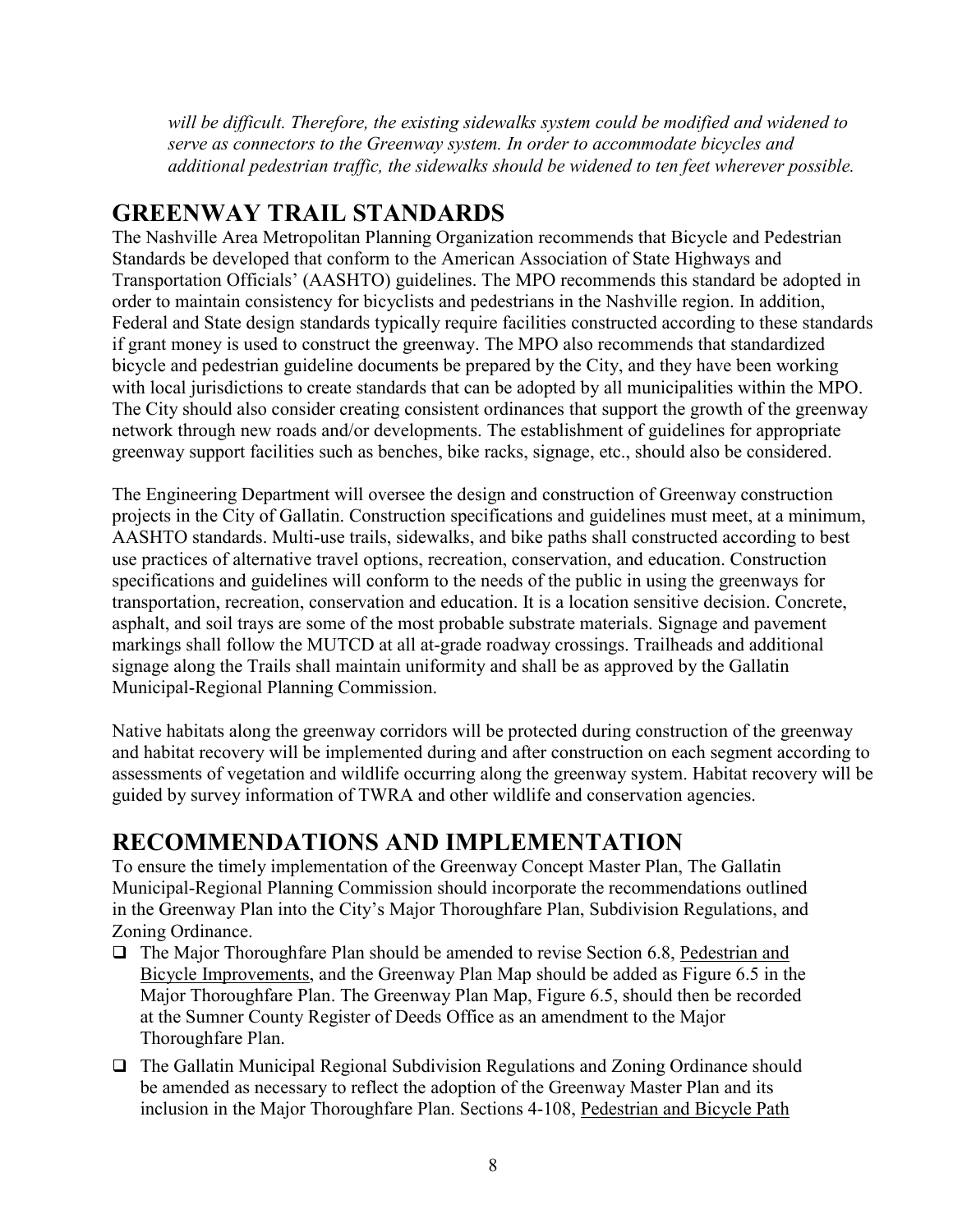will be difficult. Therefore, the existing sidewalks system could be modified and widened to serve as connectors to the Greenway system. In order to accommodate bicycles and additional pedestrian traffic, the sidewalks should be widened to ten feet wherever possible.

#### GREENWAY TRAIL STANDARDS

The Nashville Area Metropolitan Planning Organization recommends that Bicycle and Pedestrian Standards be developed that conform to the American Association of State Highways and Transportation Officials' (AASHTO) guidelines. The MPO recommends this standard be adopted in order to maintain consistency for bicyclists and pedestrians in the Nashville region. In addition, Federal and State design standards typically require facilities constructed according to these standards if grant money is used to construct the greenway. The MPO also recommends that standardized bicycle and pedestrian guideline documents be prepared by the City, and they have been working with local jurisdictions to create standards that can be adopted by all municipalities within the MPO. The City should also consider creating consistent ordinances that support the growth of the greenway network through new roads and/or developments. The establishment of guidelines for appropriate greenway support facilities such as benches, bike racks, signage, etc., should also be considered.

The Engineering Department will oversee the design and construction of Greenway construction projects in the City of Gallatin. Construction specifications and guidelines must meet, at a minimum, AASHTO standards. Multi-use trails, sidewalks, and bike paths shall constructed according to best use practices of alternative travel options, recreation, conservation, and education. Construction specifications and guidelines will conform to the needs of the public in using the greenways for transportation, recreation, conservation and education. It is a location sensitive decision. Concrete, asphalt, and soil trays are some of the most probable substrate materials. Signage and pavement markings shall follow the MUTCD at all at-grade roadway crossings. Trailheads and additional signage along the Trails shall maintain uniformity and shall be as approved by the Gallatin Municipal-Regional Planning Commission.

Native habitats along the greenway corridors will be protected during construction of the greenway and habitat recovery will be implemented during and after construction on each segment according to assessments of vegetation and wildlife occurring along the greenway system. Habitat recovery will be guided by survey information of TWRA and other wildlife and conservation agencies.

## RECOMMENDATIONS AND IMPLEMENTATION

To ensure the timely implementation of the Greenway Concept Master Plan, The Gallatin Municipal-Regional Planning Commission should incorporate the recommendations outlined in the Greenway Plan into the City's Major Thoroughfare Plan, Subdivision Regulations, and Zoning Ordinance.

- The Major Thoroughfare Plan should be amended to revise Section 6.8, Pedestrian and Bicycle Improvements, and the Greenway Plan Map should be added as Figure 6.5 in the Major Thoroughfare Plan. The Greenway Plan Map, Figure 6.5, should then be recorded at the Sumner County Register of Deeds Office as an amendment to the Major Thoroughfare Plan.
- □ The Gallatin Municipal Regional Subdivision Regulations and Zoning Ordinance should be amended as necessary to reflect the adoption of the Greenway Master Plan and its inclusion in the Major Thoroughfare Plan. Sections 4-108, Pedestrian and Bicycle Path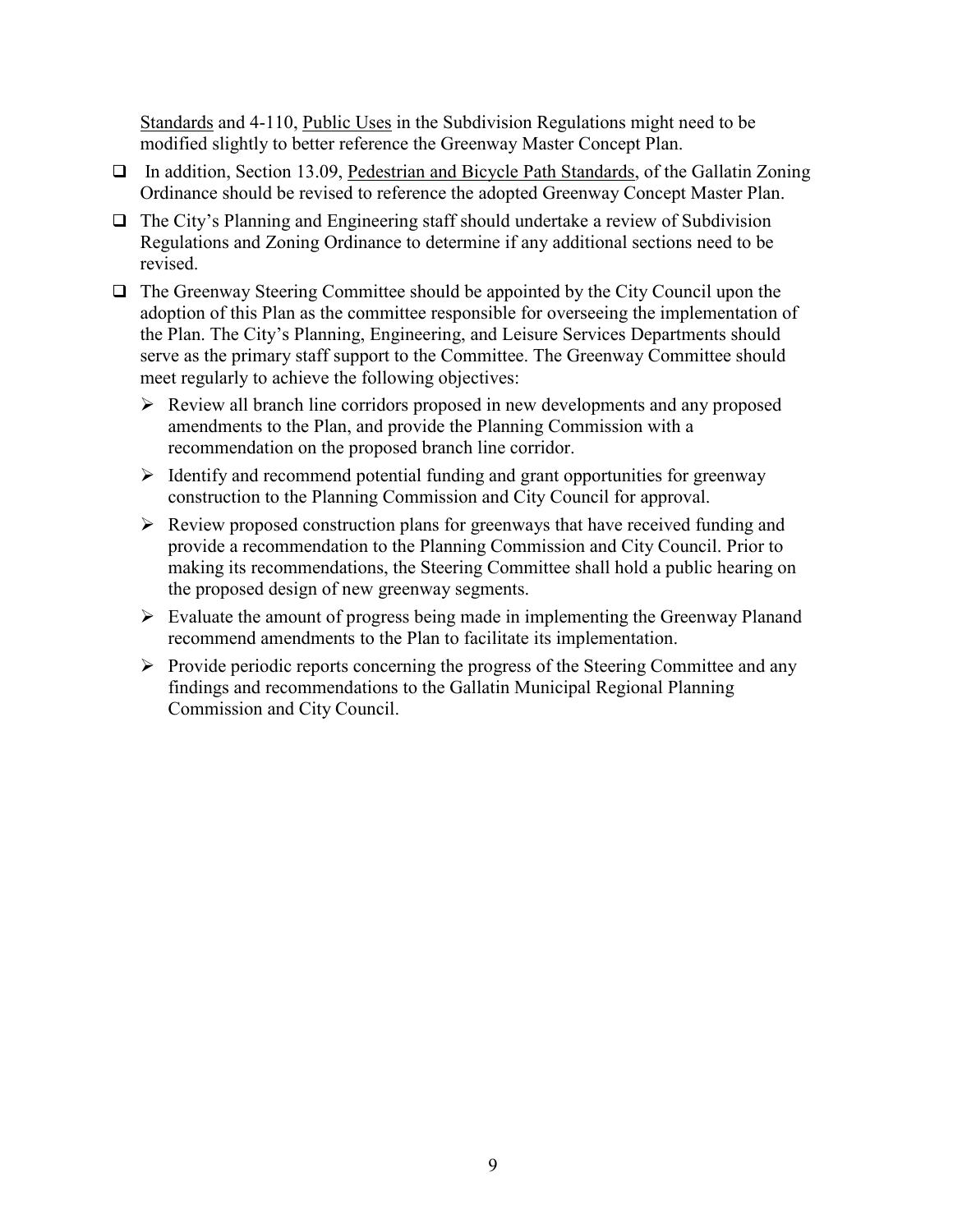Standards and 4-110, Public Uses in the Subdivision Regulations might need to be modified slightly to better reference the Greenway Master Concept Plan.

- □ In addition, Section 13.09, Pedestrian and Bicycle Path Standards, of the Gallatin Zoning Ordinance should be revised to reference the adopted Greenway Concept Master Plan.
- □ The City's Planning and Engineering staff should undertake a review of Subdivision Regulations and Zoning Ordinance to determine if any additional sections need to be revised.
- □ The Greenway Steering Committee should be appointed by the City Council upon the adoption of this Plan as the committee responsible for overseeing the implementation of the Plan. The City's Planning, Engineering, and Leisure Services Departments should serve as the primary staff support to the Committee. The Greenway Committee should meet regularly to achieve the following objectives:
	- Review all branch line corridors proposed in new developments and any proposed amendments to the Plan, and provide the Planning Commission with a recommendation on the proposed branch line corridor.
	- $\triangleright$  Identify and recommend potential funding and grant opportunities for greenway construction to the Planning Commission and City Council for approval.
	- $\triangleright$  Review proposed construction plans for greenways that have received funding and provide a recommendation to the Planning Commission and City Council. Prior to making its recommendations, the Steering Committee shall hold a public hearing on the proposed design of new greenway segments.
	- $\triangleright$  Evaluate the amount of progress being made in implementing the Greenway Planand recommend amendments to the Plan to facilitate its implementation.
	- $\triangleright$  Provide periodic reports concerning the progress of the Steering Committee and any findings and recommendations to the Gallatin Municipal Regional Planning Commission and City Council.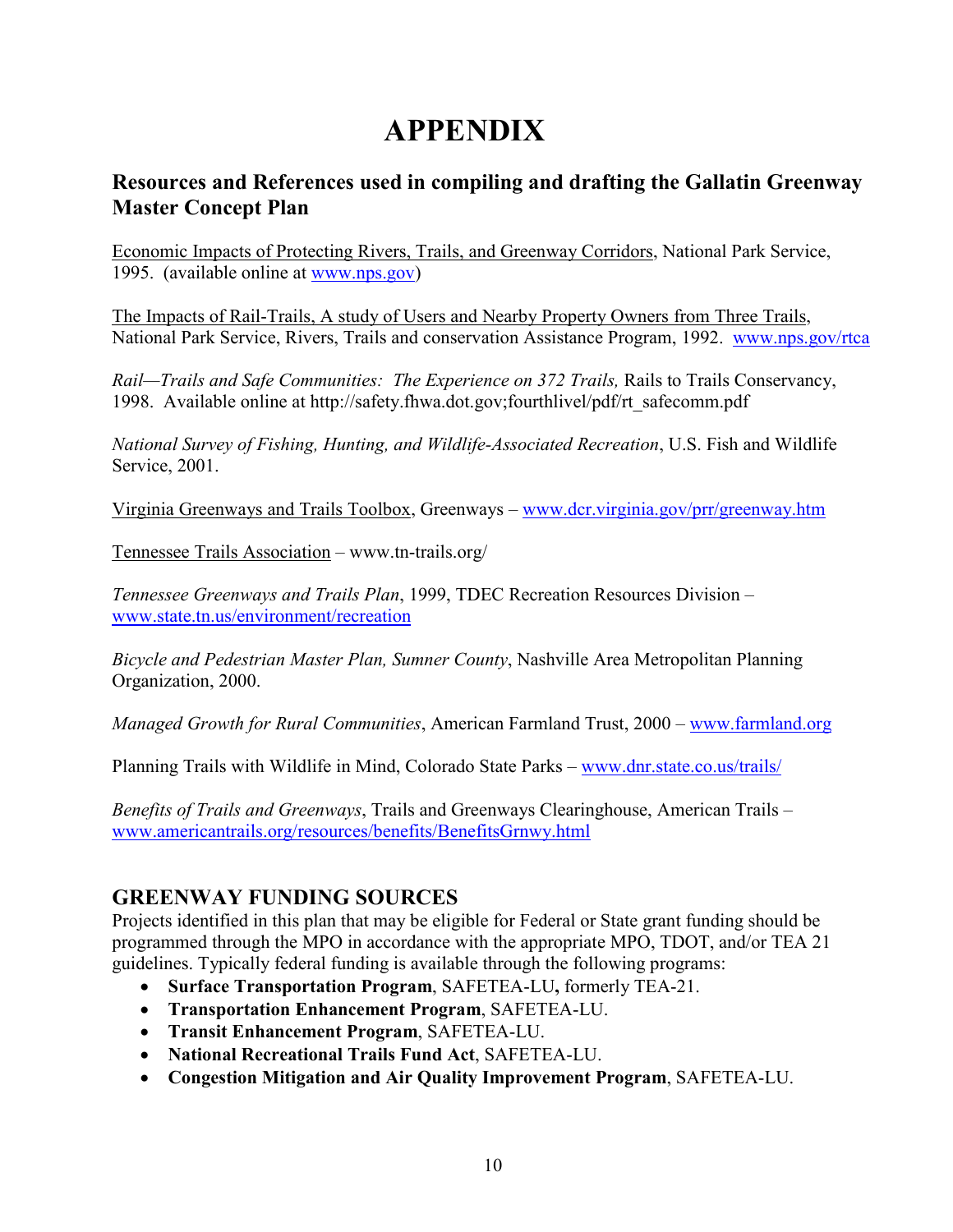# APPENDIX

#### Resources and References used in compiling and drafting the Gallatin Greenway Master Concept Plan

Economic Impacts of Protecting Rivers, Trails, and Greenway Corridors, National Park Service, 1995. (available online at www.nps.gov)

The Impacts of Rail-Trails, A study of Users and Nearby Property Owners from Three Trails, National Park Service, Rivers, Trails and conservation Assistance Program, 1992. www.nps.gov/rtca

Rail—Trails and Safe Communities: The Experience on 372 Trails, Rails to Trails Conservancy, 1998. Available online at http://safety.fhwa.dot.gov;fourthlivel/pdf/rt\_safecomm.pdf

National Survey of Fishing, Hunting, and Wildlife-Associated Recreation, U.S. Fish and Wildlife Service, 2001.

Virginia Greenways and Trails Toolbox, Greenways – www.dcr.virginia.gov/prr/greenway.htm

Tennessee Trails Association – www.tn-trails.org/

Tennessee Greenways and Trails Plan, 1999, TDEC Recreation Resources Division – www.state.tn.us/environment/recreation

Bicycle and Pedestrian Master Plan, Sumner County, Nashville Area Metropolitan Planning Organization, 2000.

Managed Growth for Rural Communities, American Farmland Trust, 2000 – www.farmland.org

Planning Trails with Wildlife in Mind, Colorado State Parks – www.dnr.state.co.us/trails/

Benefits of Trails and Greenways, Trails and Greenways Clearinghouse, American Trails – www.americantrails.org/resources/benefits/BenefitsGrnwy.html

#### GREENWAY FUNDING SOURCES

Projects identified in this plan that may be eligible for Federal or State grant funding should be programmed through the MPO in accordance with the appropriate MPO, TDOT, and/or TEA 21 guidelines. Typically federal funding is available through the following programs:

- Surface Transportation Program, SAFETEA-LU, formerly TEA-21.
- Transportation Enhancement Program, SAFETEA-LU.
- Transit Enhancement Program, SAFETEA-LU.
- National Recreational Trails Fund Act, SAFETEA-LU.
- Congestion Mitigation and Air Quality Improvement Program, SAFETEA-LU.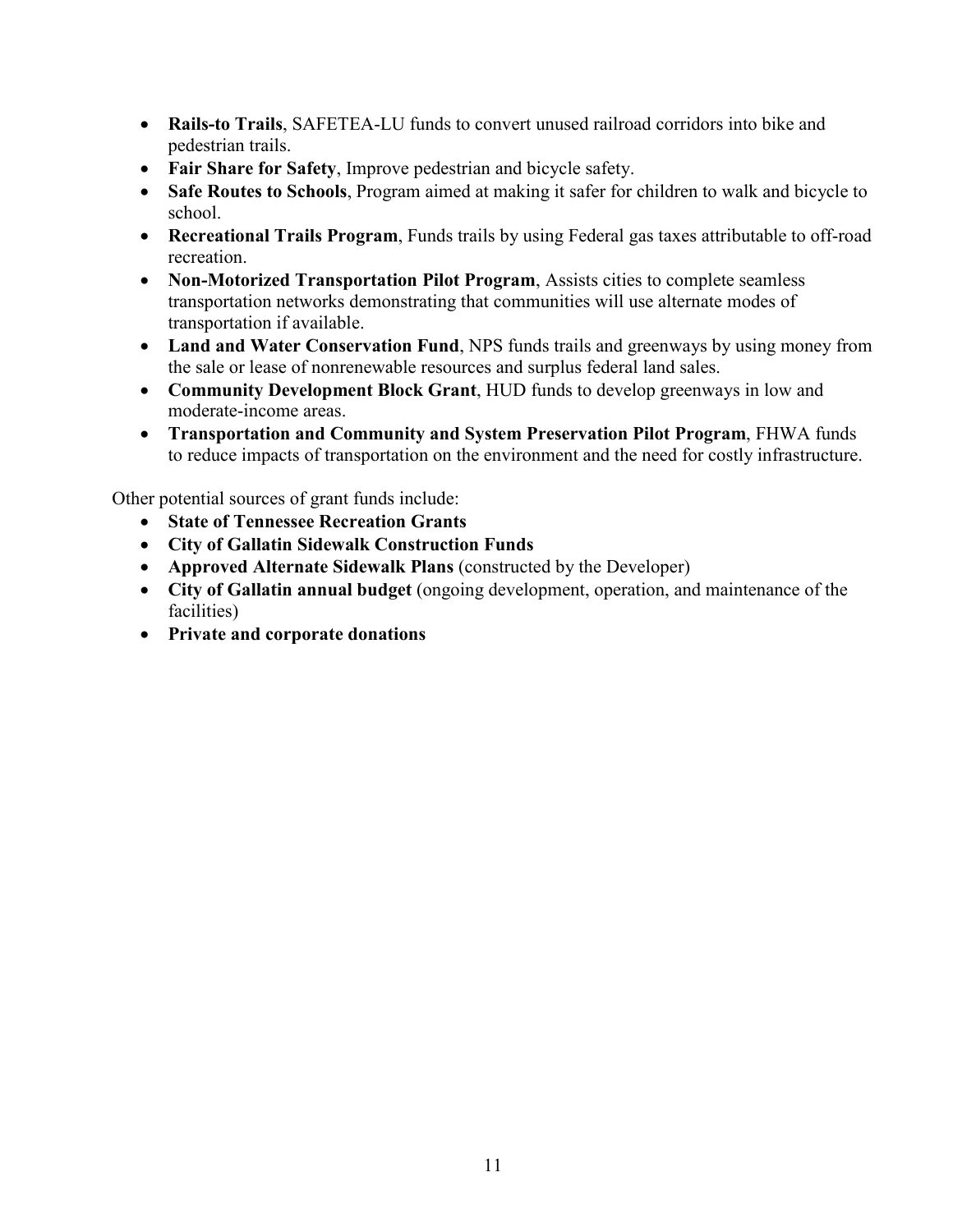- Rails-to Trails, SAFETEA-LU funds to convert unused railroad corridors into bike and pedestrian trails.
- Fair Share for Safety, Improve pedestrian and bicycle safety.
- Safe Routes to Schools, Program aimed at making it safer for children to walk and bicycle to school.
- Recreational Trails Program, Funds trails by using Federal gas taxes attributable to off-road recreation.
- Non-Motorized Transportation Pilot Program, Assists cities to complete seamless transportation networks demonstrating that communities will use alternate modes of transportation if available.
- Land and Water Conservation Fund, NPS funds trails and greenways by using money from the sale or lease of nonrenewable resources and surplus federal land sales.
- Community Development Block Grant, HUD funds to develop greenways in low and moderate-income areas.
- Transportation and Community and System Preservation Pilot Program, FHWA funds to reduce impacts of transportation on the environment and the need for costly infrastructure.

Other potential sources of grant funds include:

- State of Tennessee Recreation Grants
- City of Gallatin Sidewalk Construction Funds
- Approved Alternate Sidewalk Plans (constructed by the Developer)
- City of Gallatin annual budget (ongoing development, operation, and maintenance of the facilities)
- Private and corporate donations